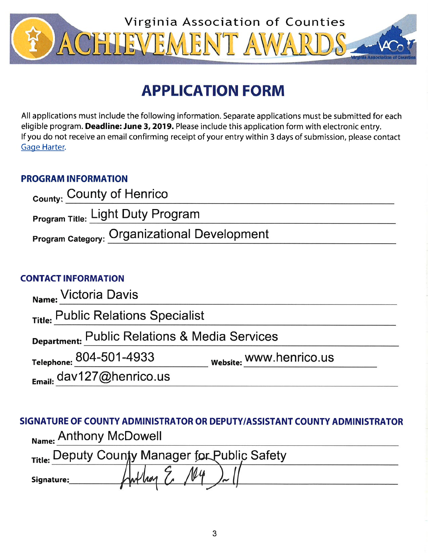

# **APPLICATION FORM**

All applications must include the following information. Separate applications must be submitted for each eligible program. Deadline: June 3, 2019. Please include this application form with electronic entry. If you do not receive an email confirming receipt of your entry within 3 days of submission, please contact Gage Harter.

## **PROGRAM INFORMATION**

| <sub>County:</sub> County of Henrico         |  |
|----------------------------------------------|--|
| <b>Program Title: Light Duty Program</b>     |  |
| Program Category: Organizational Development |  |

## **CONTACT INFORMATION**

| Name: Victoria Davis                          |                         |
|-----------------------------------------------|-------------------------|
| Title: Public Relations Specialist            |                         |
| Department: Public Relations & Media Services |                         |
| Telephone: 804-501-4933                       | website: WWW.henrico.us |
| Email: dav127@henrico.us                      |                         |

SIGNATURE OF COUNTY ADMINISTRATOR OR DEPUTY/ASSISTANT COUNTY ADMINISTRATOR Name: Anthony McDowell

| Title: Deputy County Manager for Public Safety |  |  |  |
|------------------------------------------------|--|--|--|
| Signature:                                     |  |  |  |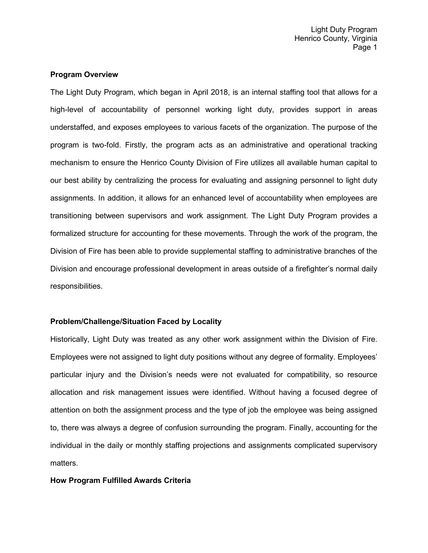#### **Program Overview**

The Light Duty Program, which began in April 2018, is an internal staffing tool that allows for a high-level of accountability of personnel working light duty, provides support in areas understaffed, and exposes employees to various facets of the organization. The purpose of the program is two-fold. Firstly, the program acts as an administrative and operational tracking mechanism to ensure the Henrico County Division of Fire utilizes all available human capital to our best ability by centralizing the process for evaluating and assigning personnel to light duty assignments. In addition, it allows for an enhanced level of accountability when employees are transitioning between supervisors and work assignment. The Light Duty Program provides a formalized structure for accounting for these movements. Through the work of the program, the Division of Fire has been able to provide supplemental staffing to administrative branches of the Division and encourage professional development in areas outside of a firefighter's normal daily responsibilities.

#### **Problem/Challenge/Situation Faced by Locality**

Historically, Light Duty was treated as any other work assignment within the Division of Fire. Employees were not assigned to light duty positions without any degree of formality. Employees' particular injury and the Division's needs were not evaluated for compatibility, so resource allocation and risk management issues were identified. Without having a focused degree of attention on both the assignment process and the type of job the employee was being assigned to, there was always a degree of confusion surrounding the program. Finally, accounting for the individual in the daily or monthly staffing projections and assignments complicated supervisory matters.

#### **How Program Fulfilled Awards Criteria**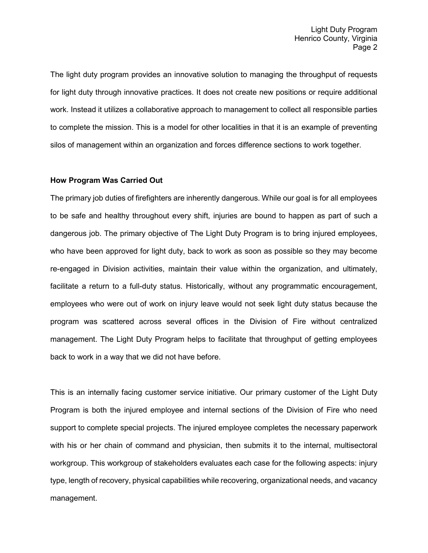The light duty program provides an innovative solution to managing the throughput of requests for light duty through innovative practices. It does not create new positions or require additional work. Instead it utilizes a collaborative approach to management to collect all responsible parties to complete the mission. This is a model for other localities in that it is an example of preventing silos of management within an organization and forces difference sections to work together.

#### **How Program Was Carried Out**

The primary job duties of firefighters are inherently dangerous. While our goal is for all employees to be safe and healthy throughout every shift, injuries are bound to happen as part of such a dangerous job. The primary objective of The Light Duty Program is to bring injured employees, who have been approved for light duty, back to work as soon as possible so they may become re-engaged in Division activities, maintain their value within the organization, and ultimately, facilitate a return to a full-duty status. Historically, without any programmatic encouragement, employees who were out of work on injury leave would not seek light duty status because the program was scattered across several offices in the Division of Fire without centralized management. The Light Duty Program helps to facilitate that throughput of getting employees back to work in a way that we did not have before.

This is an internally facing customer service initiative. Our primary customer of the Light Duty Program is both the injured employee and internal sections of the Division of Fire who need support to complete special projects. The injured employee completes the necessary paperwork with his or her chain of command and physician, then submits it to the internal, multisectoral workgroup. This workgroup of stakeholders evaluates each case for the following aspects: injury type, length of recovery, physical capabilities while recovering, organizational needs, and vacancy management.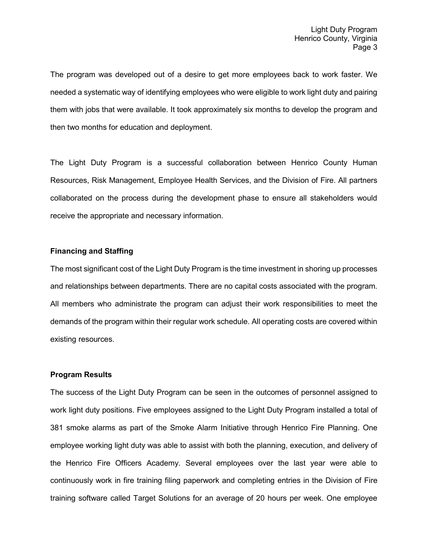The program was developed out of a desire to get more employees back to work faster. We needed a systematic way of identifying employees who were eligible to work light duty and pairing them with jobs that were available. It took approximately six months to develop the program and then two months for education and deployment.

The Light Duty Program is a successful collaboration between Henrico County Human Resources, Risk Management, Employee Health Services, and the Division of Fire. All partners collaborated on the process during the development phase to ensure all stakeholders would receive the appropriate and necessary information.

#### **Financing and Staffing**

The most significant cost of the Light Duty Program is the time investment in shoring up processes and relationships between departments. There are no capital costs associated with the program. All members who administrate the program can adjust their work responsibilities to meet the demands of the program within their regular work schedule. All operating costs are covered within existing resources.

#### **Program Results**

The success of the Light Duty Program can be seen in the outcomes of personnel assigned to work light duty positions. Five employees assigned to the Light Duty Program installed a total of 381 smoke alarms as part of the Smoke Alarm Initiative through Henrico Fire Planning. One employee working light duty was able to assist with both the planning, execution, and delivery of the Henrico Fire Officers Academy. Several employees over the last year were able to continuously work in fire training filing paperwork and completing entries in the Division of Fire training software called Target Solutions for an average of 20 hours per week. One employee